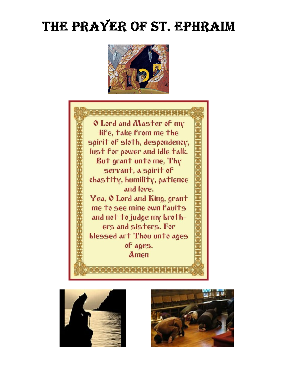# THE PRAYER OF ST. EPHRAIM







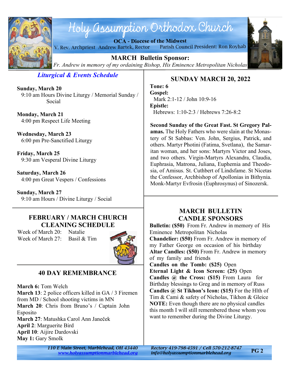

# Holy assumption Orthodox Church

**OCA - Diocese of the Midwest**





**MARCH Bulletin Sponsor:** *Fr. Andrew in memory of my ordaining Bishop, His Eminence Metropolitan Nicholas*

*Liturgical & Events Schedule*

**Sunday, March 20** 9:10 am Hours Divine Liturgy / Memorial Sunday / Social

**Monday, March 21** 4:00 pm Respect Life Meeting

**Wednesday, March 23** 6:00 pm Pre-Sanctified Liturgy

**Friday, March 25** 9:30 am Vesperal Divine Liturgy

**Saturday, March 26** 4:00 pm Great Vespers / Confessions

**Sunday, March 27** 9:10 am Hours / Divine Liturgy / Social

# **FEBRUARY / MARCH CHURCH CLEANING SCHEDULE**

Week of March 20: Natalie Week of March 27: Basil & Tim



# **40 DAY REMEMBRANCE**

**March 6:** Tom Welch

**March 13**: 2 police officers killed in GA / 3 Firemen from MD / School shooting victims in MN **March 20**: Chris from Bruno's / Captain John **Esposito March 27**: Matushka Carol Ann Janeček **April 2**: Marguerite Bird **April 10**: Aijire Dardovski **May 1:** Gary Smolk

# **SUNDAY MARCH 20, 2022**

**Tone: 6 Gospel:** Mark 2:1-12 / John 10:9-16 **Epistle:** Hebrews: 1:10-2:3 / Hebrews 7:26-8:2

**Second Sunday of the Great Fast. St Gregory Palamas.** The Holy Fathers who were slain at the Monastery of St Sabbas: Ven. John, Sergius, Patrick, and others. Martyr Photini (Fatima, Svetlana), the Samaritan woman, and her sons: Martyrs Victor and Joses, and two others. Virgin-Martyrs Alexandra, Claudia, Euphrasia, Matrona, Juliana, Euphemia and Theodosia, of Amisus. St. Cuthbert of Lindsfame. St Nicetas the Confessor, Archbishop of Apollonias in Bithynia. Monk-Martyr Evfrosin (Euphrosynus) of Sinozersk.

# **MARCH BULLETIN CANDLE SPONSORS**

**Bulletin: (\$50)** From Fr. Andrew in memory of His Eminence Metropolitan Nicholas **Chandelier: (\$50)** From Fr. Andrew in memory of my Father George on occasion of his birthday **Altar Candles: (\$50)** From Fr. Andrew in memory of my family and friends **Candles on the Tomb: (\$25)** Open **Eternal Light & Icon Screen: (25)** Open **Candles @ the Cross: (\$15)** From Laura for Birthday blessings to Greg and in memory of Russ **Candles @ St Tikhon's Icon: (\$15)** For the Hlth of

Tim & Cami & safety of Nicholas, Tikhon & Gleice **NOTE:** Even though there are no physical candles this month I will still remembered those whom you want to remember during the Divine Liturgy.

*110 E Main Street, Marblehead, OH 43440 Rectory 419-798-4591 / Cell 570-212-8747*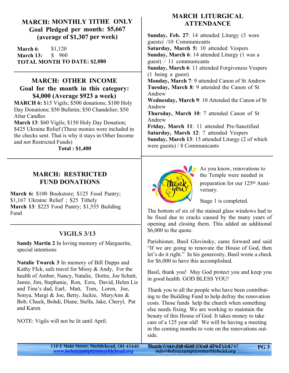## **MARCH: MONTHLY TITHE ONLY Goal Pledged per month: \$5,667 (average of \$1,307 per week)**

**March 6:** \$1,120 **March 13:** \$ 960 **TOTAL MONTH TO DATE: \$2,080**

## **MARCH: OTHER INCOME Goal for the month in this category: \$4,000 (Average \$923 a week)**

**MARCH 6:** \$15 Vigils: \$500 donations: \$100 Holy Day Donations; \$50 Bulletin; \$50 Chandelier; \$50 Altar Candles

**March 13**: \$60 Vigils; \$150 Holy Day Donation; \$425 Ukraine Relief (These monies were included in the checks sent. That is why it stays in Other Income and not Restricted Funds)

 **Total : \$1,400**

# **MARCH: RESTRICTED FUND DONATIONS**

**March 6:** \$100 Bookstore; \$125 Food Pantry; \$1,167 Ukraine Relief ; \$25 Tithely **March 13**: \$225 Food Pantry; \$1,555 Building Fund

# **VIGILS 3/13**

**Sandy Martin 2** In loving memory of Marguerite, special intentions

**Natalie Twarek 3** In memory of Bill Dupps and Kathy FIck, safe travel for Missy & Andy, For the health of Amber, Nancy, Natalie, Dottie, Joe Schutt, Jamie, Jim, Stephanie, Ron, Ezra, David, Helen Lis and Tina's dad, Earl, Matt, Tom, Loren, Joe, Sonya, Margi & Joe, Betty, Jackie, MaryAnn & Bob, Chuck, Bohdi, Diane, Stella, Jake, Cheryl, Pat and Karen

NOTE: Vigils will not be lit until April.

# **MARCH LITURGICAL ATTENDANCE**

**Sunday, Feb. 27**: 14 attended Liturgy (3 were guests) /10 Communicants **Saturday, March 5:** 10 attended Vespers **Sunday, March 6**: 14 attended Liturgy (1 was a guest) / 11 communicants **Sunday, March 6**: 11 attended Forgiveness Vespers (1 being a guest) **Monday, March 7**: 9 attended Canon of St Andrew **Tuesday, March 8**: 9 attended the Canon of St Andrew **Wednesday, March 9**: 10 Attended the Canon of St Andrew **Thursday, March 10**: 7 attended Canon of St Andrew **Friday, March 11**: 11 attended Pre-Sanctified **Saturday, March 12**: 7 attended Vespers **Sunday, March 13**: 15 attended Liturgy (2 of which were guests) / 8 Communicants



As you know, renovations to the Temple were needed in preparation for our 125th Anniversary.

Stage 1 is completed.

The bottom of six of the stained glass windows had to be fixed due to cracks caused by the many years of opening and closing them. This added an additional \$6,000 to the quote.

Parishioner, Basil Glovinsky, came forward and said "If we are going to renovate the House of God, then let's do it right." In his generosity, Basil wrote a check for \$6,000 to have this accomplished.

Basil, thank you! May God protect you and keep you in good health. GOD BLESS YOU!

Thank you to all the people who have been contributing to the Building Fund to help defray the renovation costs. Those funds help the church when something else needs fixing. We are working to maintain the beauty of this House of God. It takes money to take care of a 125 year old! We will be having a meeting in the coming months to vote on the renovations outside.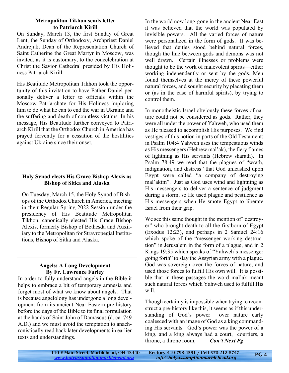#### **Metropolitan Tikhon sends letter to Patriarch Kirill**

On Sunday, March 13, the first Sunday of Great Lent, the Sunday of Orthodoxy, Archpriest Daniel Andrejuk, Dean of the Representation Church of Saint Catherine the Great Martyr in Moscow, was invited, as it is customary, to the concelebration at Christ the Savior Cathedral presided by His Holiness Patriarch Kirill.

His Beatitude Metropolitan Tikhon took the opportunity of this invitation to have Father Daniel personally deliver a letter to officials within the Moscow Patriarchate for His Holiness imploring him to do what he can to end the war in Ukraine and the suffering and death of countless victims. In his message, His Beatitude further conveyed to Patriarch Kirill that the Orthodox Church in America has prayed fervently for a cessation of the hostilities against Ukraine since their onset.

## **Holy Synod elects His Grace Bishop Alexis as Bishop of Sitka and Alaska**

On Tuesday, March 15, the Holy Synod of Bishops of the Orthodox Church in America, meeting in their Regular Spring 2022 Session under the presidency of His Beatitude Metropolitan Tikhon, canonically elected His Grace Bishop Alexis, formerly Bishop of Bethesda and Auxiliary to the Metropolitan for Stravropegial Institutions, Bishop of Sitka and Alaska.

### **Angels: A Long Development By Fr. Lawrence Farley**

In order to fully understand angels in the Bible it helps to embrace a bit of temporary amnesia and forget most of what we know about angels. That is because angelology has undergone a long development from its ancient Near Eastern pre-history before the days of the Bible to its final formulation at the hands of Saint John of Damascus (d. ca. 749 A.D.) and we must avoid the temptation to anachronistically read back later developments in earlier texts and understandings.

In the world now long-gone in the ancient Near East it was believed that the world was populated by invisible powers. All the varied forces of nature were personalized in the form of gods. It was believed that deities stood behind natural forces, though the line between gods and demons was not well drawn. Certain illnesses or problems were thought to be the work of malevolent spirits—either working independently or sent by the gods. Men found themselves at the mercy of these powerful natural forces, and sought security by placating them or (as in the case of harmful spirits), by trying to control them.

In monotheistic Israel obviously these forces of nature could not be considered as gods. Rather, they were all under the power of Yahweh, who used them as He pleased to accomplish His purposes. We find vestiges of this notion in parts of the Old Testament: in Psalm 104:4 Yahweh uses the tempestuous winds as His messengers (Hebrew mal'ak), the fiery flames of lightning as His servants (Hebrew sharath). In Psalm 78:49 we read that the plagues of "wrath, indignation, and distress" that God unleashed upon Egypt were called "a company of destroying mal'akim". Just as God uses wind and lightning as His messengers to deliver a sentence of judgment during a storm, so He used plague and pestilence as His messengers when He smote Egypt to liberate Israel from their grip.

We see this same thought in the mention of "destroyer" who brought death to all the firstborn of Egypt (Exodus 12:23), and perhaps in 2 Samuel 24:16 which spoke of the "messenger working destruction" in Jerusalem in the form of a plague, and in 2 Kings 19:35 which speaks of "Yahweh's messenger going forth" to slay the Assyrian army with a plague. God was sovereign over the forces of nature, and used those forces to fulfill His own will. It is possible that in these passages the word mal'ak meant such natural forces which Yahweh used to fulfill His will.

Though certainty is impossible when trying to reconstruct a pre-history like this, it seems as if this understanding of God's power over nature early coalesced with an image of God as a king commanding His servants. God's power was the power of a king, and a king always had a court, courtiers, a throne, a throne room, *Con't Next Pg*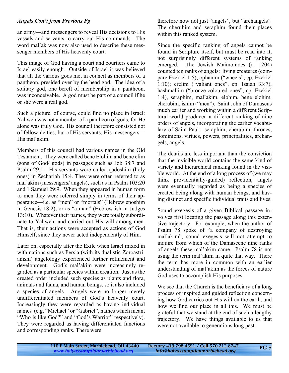### *Angels Con't from Previous Pg*

an army—and messengers to reveal His decisions to His vassals and servants to carry out His commands. The word mal'ak was now also used to describe these messenger members of His heavenly court.

This image of God having a court and courtiers came to Israel easily enough. Outside of Israel it was believed that all the various gods met in council as members of a pantheon, presided over by the head god. The idea of a solitary god, one bereft of membership in a pantheon, was inconceivable. A god must be part of a council if he or she were a real god.

Such a picture, of course, could find no place in Israel: Yahweh was not a member of a pantheon of gods, for He alone was truly God. His council therefore consisted not of fellow-deities, but of His servants, His messengers— His mal'akim.

Members of this council had various names in the Old Testament. They were called bene Elohim and bene elim (sons of God/ gods) in passages such as Job 38:7 and Psalm 29:1. His servants were called qadoshim (holy ones) in Zechariah 15:4. They were often referred to as mal'akim (messengers/ angels), such as in Psalm 103:20 and 1 Samuel 29:9. When they appeared in human form to men they were referred simply in terms of their appearance—i.e. as "men" or "mortals" (Hebrew enoshim in Genesis 18:2), or as "a man" (Hebrew ish in Judges 13:10). Whatever their names, they were totally subordinate to Yahweh, and carried out His will among men. That is, their actions were accepted as actions of God Himself, since they never acted independently of Him.

Later on, especially after the Exile when Israel mixed in with nations such as Persia (with its dualistic Zoroastrianism) angelology experienced further refinement and development. God's mal'akim were increasingly regarded as a particular species within creation. Just as the created order included such species as plants and flora, animals and fauna, and human beings, so it also included a species of angels. Angels were no longer merely undifferentiated members of God's heavenly court. Increasingly they were regarded as having individual names (e.g. "Michael" or "Gabriel", names which meant "Who is like God?" and "God's Warrior" respectively). They were regarded as having differentiated functions and corresponding ranks. There were

therefore now not just "angels", but "archangels". The cherubim and seraphim found their places within this ranked system.

Since the specific ranking of angels cannot be found in Scripture itself, but must be read into it, not surprisingly different systems of ranking emerged. The Jewish Maimonides (d. 1204) counted ten ranks of angels: living creatures (compare Ezekiel 1:5), ophanim ("wheels", cp. Ezekiel 1:10); erelim ("valiant ones", cp. Isaiah 33:7), hashmallim ("bronze-coloured ones", cp. Ezekiel 1:4), seraphim, mal'akim, elohim, bene elohim, cherubim, ishim ("men"). Saint John of Damascus much earlier and working within a different Scriptural world produced a different ranking of nine orders of angels, incorporating the earlier vocabulary of Saint Paul: seraphim, cherubim, thrones, dominions, virtues, powers, principalities, archangels, angels.

The details are less important than the conviction that the invisible world contains the same kind of variety and hierarchical ranking found in the visible world. At the end of a long process of (we may think providentially-guided) reflection, angels were eventually regarded as being a species of created being along with human beings, and having distinct and specific individual traits and lives.

Sound exegesis of a given Biblical passage involves first locating the passage along this extensive trajectory. For example, when the author of Psalm 78 spoke of "a company of destroying mal'akim", sound exegesis will not attempt to inquire from which of the Damascene nine ranks of angels these mal'akim came. Psalm 78 is not using the term mal'akim in quite that way. There the term has more in common with an earlier understanding of mal'akim as the forces of nature God uses to accomplish His purposes.

We see that the Church is the beneficiary of a long process of inspired and guided reflection concerning how God carries out His will on the earth, and how we find our place in all this. We must be grateful that we stand at the end of such a lengthy trajectory. We have things available to us that were not available to generations long past.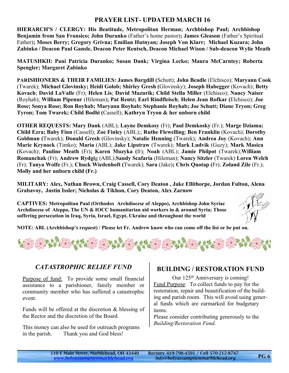# **PRAYER LIST- UPDATED MARCH 16**

**HIERARCH'S / CLERGY: His Beatitude, Metropolitan Herman; Archbishop Paul; Archbishop Benjamin from San Fransico; John Duranko** (Father's home pastor)**; James Gleason** (Father's Spiritual Father)**; Moses Berry; Gregory Grivna; Emilian Hutnyan; Joseph Von Klarr; Michael Kuzara; John Zabinko / Deacon Paul Gansle, Deacon Peter Rentsch, Deacon Michael Wison / Sub-deacon Wylie Meath**

**MATUSHKII: Pani Patricia Duranko; Susan Dank; Virgina Lecko; Maura McCarntey; Roberta Spengler; Margaret Zabinko**

**PARISHIONERS & THEIR FAMILIES: James Bargdill (**Schutt); **John Beadle** (Elchisco); **Maryann Cook** (Twarek); **Michael Glovinsky; Heidi Golob; Shirley Gresh (**Glovinsky); **Joseph Habegger** (Kovach); **Betty Kovach**; **David LaValle** (Fr); **Helen Lis**; **David Mazurik; Child Stella Miller** (Elchisco); **Nancy Naiser** (Royhab); **William Pipenur** (Hileman)**; Pat Rentz; Earl Rindfleisch**; **Helen Jean Rofkar (**Elchisco); **Joe Rose; Sonya Rose; Ron Royhab; Maryann Royhab; Stephanie Royhab; Joe Schutt; Diane Tryon; Greg Tyron; Tom Twarek; Child Bodhi (**Cassell); **Kathryn Tryon & her unborn child**

**OTHER REQUESTS: Mary Dank** (ABL); **Layne Demkosy** (Fr); **Paul Demkosky** (Fr.); **Marge Dziama; Child Ezra; Baby Finn** (Cassell); **Zoe Finley** (ABL);; **Ruthe Flewelling**; **Ben Franklin** (Kovach); **Dorothy Goldman (**Twarek); **Donald Gresh** (Glovinsky); **Natalie Henning** (Twarek); **Andrea Joy** (Kovach); **Ann Marie Krynock** (Timko); **Maria** (ABL); **Jake Lipstraw** (Twarek); **Mark Ludvik** (Guzy); **Mark Masica (**Kovach); **Pauline Meath** (Fr)**; Karen Muzyka (**fr); **Noah** (ABL); **Jamie Philpot** (Twarek);**William Romanchak** (Fr); **Andrew Rydgi**g (ABL);**Sandy Scafaria** (Hileman); **Nancy Sitzler** (Twarek) **Loren Welch** (Fr); **Tanya Wolfe** (Fr.); **Chuck Wiedenhoft (**Twarek); **Sara** (Jake)**; Chris Quotap (**Fr); **Zoland Zile** (Fr.); **Molly and her unborn child (Fr.)**

**MILITARY: Alex, Nathan Brown, Craig Cassell, Cory Deaton , Jake Ellithorpe, Jordan Fulton, Alena Grabavoy, Justin Issler; Nicholas & Tikhon, Cory Deaton, Alex Zarnow**

**CAPTIVES: Metropolitan Paul (Orthodox Archdiocese of Aleppo), Archbishop John Syriac Archdiocese of Aleppo, The UN & IOCC humanitarian aid workers in & around Syria; Those suffering persecution in Iraq, Syria, Israel, Egypt, Ukraine and throughout the world**



**NOTE: ABL (Archbishop's request) / Please let Fr. Andrew know who can come off the list or be put on.**



## *CATASTROPHIC RELIEF FUND*

Purpose of fund: To provide some small financial assistance to a parishioner, family member or community member who has suffered a catastrophic event.

Funds will be offered at the discretion & blessing of the Rector and the discretion of the Board.

This money can also be used for outreach programs in the parish. Thank you and God bless!

## **BUILDING / RESTORATION FUND**

Our 125<sup>th</sup> Anniversary is coming! Fund Purpose: To collect funds to pay for the restoration, repair and beautification of the building and parish room. This will avoid using general funds which are earmarked for budgetary items.

Please consider contributing generously to the *Building/Restoration Fund*.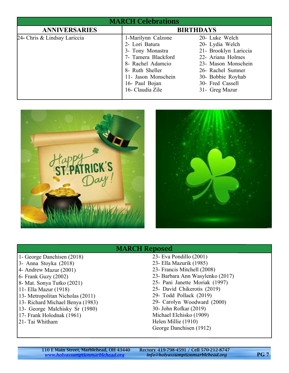| <b>MARCH Celebrations</b>    |                                                                                                                                                                                      |                                                                                                                                                                                        |
|------------------------------|--------------------------------------------------------------------------------------------------------------------------------------------------------------------------------------|----------------------------------------------------------------------------------------------------------------------------------------------------------------------------------------|
| <b>ANNIVERSARIES</b>         | <b>BIRTHDAYS</b>                                                                                                                                                                     |                                                                                                                                                                                        |
| 24- Chris & Lindsay Lariccia | 1-Marilynn Calzone<br>2- Lori Batura<br>3- Tony Monastra<br>7- Tamera Blackford<br>8- Rachel Adamcio<br>8- Ruth Sheller<br>11- Jason Monschein<br>16- Paul Bojan<br>16- Claudia Zile | 20- Luke Welch<br>20- Lydia Welch<br>21- Brooklyn Lariccia<br>22- Ariana Holmes<br>23- Mason Monschein<br>26- Rachel Sumner<br>30- Bobbie Royhab<br>30- Fred Cassell<br>31- Greg Mazur |





## MARCH Reposed

- 1- George Danchisen (2018)
- 3- Anna Stoyka (2018)
- 4- Andrew Mazur (2001)
- 6- Frank Guzy (2002)
- 8- Mat. Sonya Tutko (2021)
- 11- Ella Mazur (1918)
- 13- Metropolitan Nicholas (2011)
- 13- Richard Michael Benya (1983)
- 13- George Malchisky Sr (1980)
- 17- Frank Holodnak (1961)
- 21- Tai Whitham
- 23- Eva Pondillo (2001)
- 23- Ella Mazurik (1985)
- 23- Francis Mitchell (2008)
- 23- Barbara Ann Wasylenko (2017)
- 25- Pani Janette Moriak (1997)
- 25- David Chikerotis (2019)
- 29- Todd Pollack (2019)
- 29- Carolyn Woodward (2000)
- 30- John Rofkar (2019)
- Michael Elchisko (1909)
- Helen Millie (1910)
- George Danchisen (1912)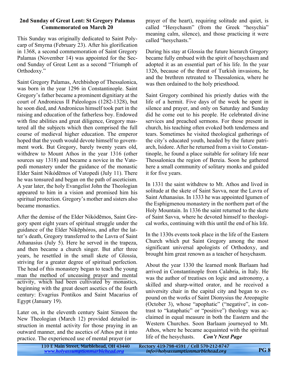#### **2nd Sunday of Great Lent: St Gregory Palamas Commemorated on March 20**

This Sunday was originally dedicated to Saint Polycarp of Smyrna (February 23). After his glorification in 1368, a second commemoration of Saint Gregory Palamas (November 14) was appointed for the Second Sunday of Great Lent as a second "Triumph of Orthodoxy."

Saint Gregory Palamas, Archbishop of Thessalonica, was born in the year 1296 in Constantinople. Saint Gregory's father became a prominent dignitiary at the court of Andronicus II Paleologos (1282-1328), but he soon died, and Andronicus himself took part in the raising and education of the fatherless boy. Endowed with fine abilities and great diligence, Gregory mastered all the subjects which then comprised the full course of medieval higher education. The emperor hoped that the youth would devote himself to government work. But Gregory, barely twenty years old, withdrew to Mount Athos in the year 1316 (other sources say 1318) and became a novice in the Vatopedi monastery under the guidance of the monastic Elder Saint Νikόdēmos of Vatopedi (July 11). There he was tonsured and began on the path of asceticism. A year later, the holy Evangelist John the Theologian appeared to him in a vision and promised him his spiritual protection. Gregory's mother and sisters also became monastics.

After the demise of the Elder Νikόdēmos, Saint Gregory spent eight years of spiritual struggle under the guidance of the Elder Nikēphóros, and after the latter's death, Gregory transferred to the Lavra of Saint Athanasius (July 5). Here he served in the trapeza, and then became a church singer. But after three years, he resettled in the small skete of Glossia, striving for a greater degree of spiritual perfection. The head of this monastery began to teach the young man the method of unceasing prayer and mental activity, which had been cultivated by monastics, beginning with the great desert ascetics of the fourth century: Evagrius Pontikos and Saint Macarius of Egypt (January 19).

Later on, in the eleventh century Saint Simeon the New Theologian (March 12) provided detailed instruction in mental activity for those praying in an outward manner, and the ascetics of Athos put it into practice. The experienced use of mental prayer (or

prayer of the heart), requiring solitude and quiet, is called "Hesychasm" (from the Greek "hesychia" meaning calm, silence), and those practicing it were called "hesychasts."

During his stay at Glossia the future hierarch Gregory became fully embued with the spirit of hesychasm and adopted it as an essential part of his life. In the year 1326, because of the threat of Turkish invasions, he and the brethren retreated to Thessalonica, where he was then ordained to the holy priesthood.

Saint Gregory combined his priestly duties with the life of a hermit. Five days of the week he spent in silence and prayer, and only on Saturday and Sunday did he come out to his people. He celebrated divine services and preached sermons. For those present in church, his teaching often evoked both tenderness and tears. Sometimes he visited theological gatherings of the city's educated youth, headed by the future patriarch, Isidore. After he returned from a visit to Constantinople, he found a place suitable for solitary life near Thessalonica the region of Bereia. Soon he gathered here a small community of solitary monks and guided it for five years.

In 1331 the saint withdrew to Mt. Athos and lived in solitude at the skete of Saint Savva, near the Lavra of Saint Athanasius. In 1333 he was appointed Igumen of the Esphigmenou monastery in the northern part of the Holy Mountain. In 1336 the saint returned to the skete of Saint Savva, where he devoted himself to theological works, continuing with this until the end of his life.

In the 1330s events took place in the life of the Eastern Church which put Saint Gregory among the most significant universal apologists of Orthodoxy, and brought him great renown as a teacher of hesychasm.

About the year 1330 the learned monk Barlaam had arrived in Constantinople from Calabria, in Italy. He was the author of treatises on logic and astronomy, a skilled and sharp-witted orator, and he received a university chair in the capital city and began to expound on the works of Saint Dionysius the Areopagite (October 3), whose "apophatic" ("negative", in contrast to "kataphatic" or "positive") theology was acclaimed in equal measure in both the Eastern and the Western Churches. Soon Barlaam journeyed to Mt. Athos, where he became acquainted with the spiritual life of the hesychasts. *Con't Next Page*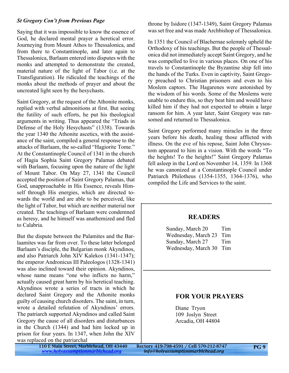#### *St Gregory Con't from Previous Page*

Saying that it was impossible to know the essence of God, he declared mental prayer a heretical error. Journeying from Mount Athos to Thessalonica, and from there to Constantinople, and later again to Thessalonica, Barlaam entered into disputes with the monks and attempted to demonstrate the created, material nature of the light of Tabor (i.e. at the Transfiguration). He ridiculed the teachings of the monks about the methods of prayer and about the uncreated light seen by the hesychasts.

Saint Gregory, at the request of the Athonite monks, replied with verbal admonitions at first. But seeing the futility of such efforts, he put his theological arguments in writing. Thus appeared the "Triads in Defense of the Holy Hesychasts" (1338). Towards the year 1340 the Athonite ascetics, with the assistance of the saint, compiled a general response to the attacks of Barlaam, the so-called "Hagiorite Tome." At the Constantinople Council of 1341 in the church of Hagia Sophia Saint Gregory Palamas debated with Barlaam, focusing upon the nature of the light of Mount Tabor. On May 27, 1341 the Council accepted the position of Saint Gregory Palamas, that God, unapproachable in His Essence, reveals Himself through His energies, which are directed towards the world and are able to be perceived, like the light of Tabor, but which are neither material nor created. The teachings of Barlaam were condemned as heresy, and he himself was anathemized and fled to Calabria.

But the dispute between the Palamites and the Barlaamites was far from over. To these latter belonged Barlaam's disciple, the Bulgarian monk Akyndinos, and also Patriarch John XIV Kalekos (1341-1347); the emperor Andronicus III Paleologos (1328-1341) was also inclined toward their opinion. Akyndinos, whose name means "one who inflicts no harm," actually caused great harm by his heretical teaching. Akyndinos wrote a series of tracts in which he declared Saint Gregory and the Athonite monks guilty of causing church disorders. The saint, in turn, wrote a detailed refutation of Akyndinos' errors. The patriarch supported Akyndinos and called Saint Gregory the cause of all disorders and disturbances in the Church (1344) and had him locked up in prison for four years. In 1347, when John the XIV was replaced on the patriarchal

throne by Isidore (1347-1349), Saint Gregory Palamas was set free and was made Archbishop of Thessalonica.

In 1351 the Council of Blachernae solemnly upheld the Orthodoxy of his teachings. But the people of Thessalonica did not immediately accept Saint Gregory, and he was compelled to live in various places. On one of his travels to Constantinople the Byzantine ship fell into the hands of the Turks. Even in captivity, Saint Gregory preached to Christian prisoners and even to his Moslem captors. The Hagarenes were astonished by the wisdom of his words. Some of the Moslems were unable to endure this, so they beat him and would have killed him if they had not expected to obtain a large ransom for him. A year later, Saint Gregory was ransomed and returned to Thessalonica.

Saint Gregory performed many miracles in the three years before his death, healing those afflicted with illness. On the eve of his repose, Saint John Chrysostom appeared to him in a vision. With the words "To the heights! To the heights!" Saint Gregory Palamas fell asleep in the Lord on November 14, 1359. In 1368 he was canonized at a Constantinople Council under Patriarch Philotheus (1354-1355, 1364-1376), who compiled the Life and Services to the saint.

#### **READERS**

Sunday, March 20 Tim Wednesday, March 23 Tim Sunday, March 27 Tim Wednesday, March 30 Tim

#### **FOR YOUR PRAYERS**

Diane Tryon 109 Joslyn Street Arcadia, OH 44804